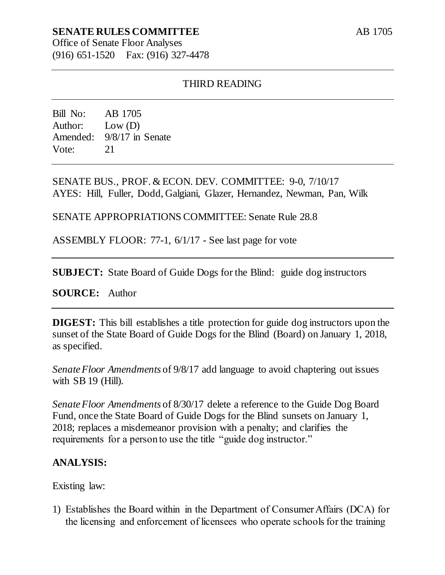# **SENATE RULES COMMITTEE**

Office of Senate Floor Analyses (916) 651-1520 Fax: (916) 327-4478

### THIRD READING

Bill No: AB 1705 Author: Low (D) Amended: 9/8/17 in Senate Vote: 21

SENATE BUS., PROF. & ECON. DEV. COMMITTEE: 9-0, 7/10/17 AYES: Hill, Fuller, Dodd, Galgiani, Glazer, Hernandez, Newman, Pan, Wilk

SENATE APPROPRIATIONS COMMITTEE: Senate Rule 28.8

ASSEMBLY FLOOR: 77-1, 6/1/17 - See last page for vote

**SUBJECT:** State Board of Guide Dogs for the Blind: guide dog instructors

**SOURCE:** Author

**DIGEST:** This bill establishes a title protection for guide dog instructors upon the sunset of the State Board of Guide Dogs for the Blind (Board) on January 1, 2018, as specified.

*Senate Floor Amendments* of 9/8/17 add language to avoid chaptering out issues with SB 19 (Hill).

*Senate Floor Amendments* of 8/30/17 delete a reference to the Guide Dog Board Fund, once the State Board of Guide Dogs for the Blind sunsets on January 1, 2018; replaces a misdemeanor provision with a penalty; and clarifies the requirements for a person to use the title "guide dog instructor."

#### **ANALYSIS:**

Existing law:

1) Establishes the Board within in the Department of Consumer Affairs (DCA) for the licensing and enforcement of licensees who operate schools for the training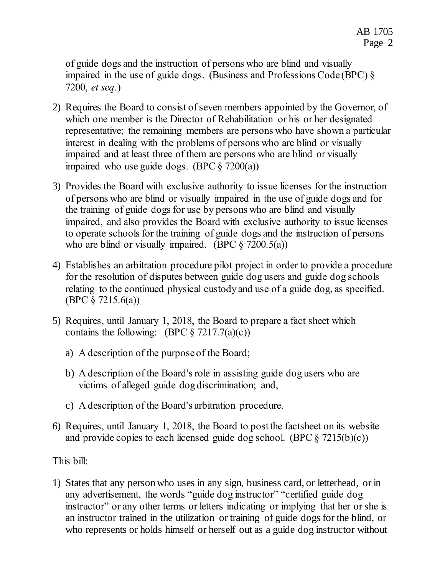of guide dogs and the instruction of persons who are blind and visually impaired in the use of guide dogs. (Business and Professions Code (BPC) § 7200, *et seq*.)

- 2) Requires the Board to consist of seven members appointed by the Governor, of which one member is the Director of Rehabilitation or his or her designated representative; the remaining members are persons who have shown a particular interest in dealing with the problems of persons who are blind or visually impaired and at least three of them are persons who are blind or visually impaired who use guide dogs. (BPC  $\S$  7200(a))
- 3) Provides the Board with exclusive authority to issue licenses for the instruction of persons who are blind or visually impaired in the use of guide dogs and for the training of guide dogs for use by persons who are blind and visually impaired, and also provides the Board with exclusive authority to issue licenses to operate schools for the training of guide dogs and the instruction of persons who are blind or visually impaired. (BPC  $\S$  7200.5(a))
- 4) Establishes an arbitration procedure pilot project in order to provide a procedure for the resolution of disputes between guide dog users and guide dog schools relating to the continued physical custody and use of a guide dog, as specified. (BPC § 7215.6(a))
- 5) Requires, until January 1, 2018, the Board to prepare a fact sheet which contains the following: (BPC  $\S 7217.7(a)(c)$ )
	- a) A description of the purpose of the Board;
	- b) A description of the Board's role in assisting guide dog users who are victims of alleged guide dog discrimination; and,
	- c) A description of the Board's arbitration procedure.
- 6) Requires, until January 1, 2018, the Board to post the factsheet on its website and provide copies to each licensed guide dog school. (BPC  $\S$  7215(b)(c))

This bill:

1) States that any person who uses in any sign, business card, or letterhead, or in any advertisement, the words "guide dog instructor" "certified guide dog instructor" or any other terms or letters indicating or implying that her or she is an instructor trained in the utilization or training of guide dogs for the blind, or who represents or holds himself or herself out as a guide dog instructor without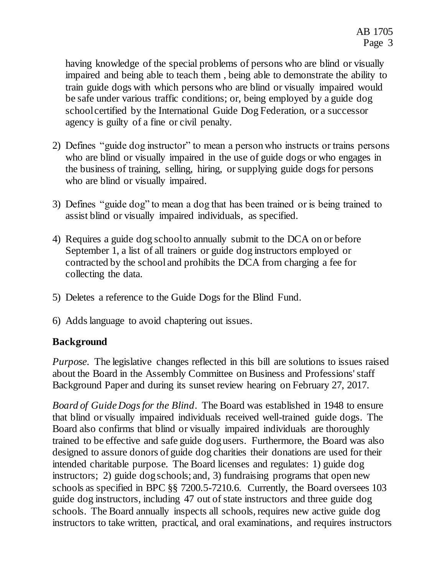having knowledge of the special problems of persons who are blind or visually impaired and being able to teach them , being able to demonstrate the ability to train guide dogs with which persons who are blind or visually impaired would be safe under various traffic conditions; or, being employed by a guide dog school certified by the International Guide Dog Federation, or a successor agency is guilty of a fine or civil penalty.

- 2) Defines "guide dog instructor" to mean a person who instructs or trains persons who are blind or visually impaired in the use of guide dogs or who engages in the business of training, selling, hiring, or supplying guide dogs for persons who are blind or visually impaired.
- 3) Defines "guide dog" to mean a dog that has been trained or is being trained to assist blind or visually impaired individuals, as specified.
- 4) Requires a guide dog school to annually submit to the DCA on or before September 1, a list of all trainers or guide dog instructors employed or contracted by the school and prohibits the DCA from charging a fee for collecting the data.
- 5) Deletes a reference to the Guide Dogs for the Blind Fund.
- 6) Adds language to avoid chaptering out issues.

# **Background**

*Purpose*. The legislative changes reflected in this bill are solutions to issues raised about the Board in the Assembly Committee on Business and Professions' staff Background Paper and during its sunset review hearing on February 27, 2017.

*Board of Guide Dogs for the Blind*. The Board was established in 1948 to ensure that blind or visually impaired individuals received well-trained guide dogs. The Board also confirms that blind or visually impaired individuals are thoroughly trained to be effective and safe guide dog users. Furthermore, the Board was also designed to assure donors of guide dog charities their donations are used for their intended charitable purpose. The Board licenses and regulates: 1) guide dog instructors; 2) guide dog schools; and, 3) fundraising programs that open new schools as specified in BPC §§ 7200.5-7210.6. Currently, the Board oversees 103 guide dog instructors, including 47 out of state instructors and three guide dog schools. The Board annually inspects all schools, requires new active guide dog instructors to take written, practical, and oral examinations, and requires instructors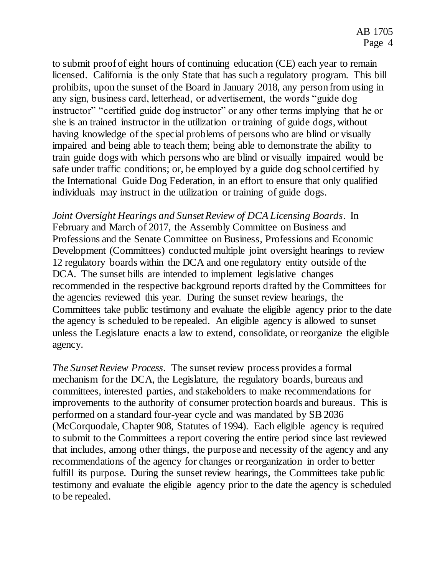to submit proof of eight hours of continuing education (CE) each year to remain licensed. California is the only State that has such a regulatory program. This bill prohibits, upon the sunset of the Board in January 2018, any person from using in any sign, business card, letterhead, or advertisement, the words "guide dog instructor" "certified guide dog instructor" or any other terms implying that he or she is an trained instructor in the utilization or training of guide dogs, without having knowledge of the special problems of persons who are blind or visually impaired and being able to teach them; being able to demonstrate the ability to train guide dogs with which persons who are blind or visually impaired would be safe under traffic conditions; or, be employed by a guide dog school certified by the International Guide Dog Federation, in an effort to ensure that only qualified individuals may instruct in the utilization or training of guide dogs.

*Joint Oversight Hearings and Sunset Review of DCA Licensing Boards*. In February and March of 2017, the Assembly Committee on Business and Professions and the Senate Committee on Business, Professions and Economic Development (Committees) conducted multiple joint oversight hearings to review 12 regulatory boards within the DCA and one regulatory entity outside of the DCA. The sunset bills are intended to implement legislative changes recommended in the respective background reports drafted by the Committees for the agencies reviewed this year. During the sunset review hearings, the Committees take public testimony and evaluate the eligible agency prior to the date the agency is scheduled to be repealed. An eligible agency is allowed to sunset unless the Legislature enacts a law to extend, consolidate, or reorganize the eligible agency.

*The Sunset Review Process*. The sunset review process provides a formal mechanism for the DCA, the Legislature, the regulatory boards, bureaus and committees, interested parties, and stakeholders to make recommendations for improvements to the authority of consumer protection boards and bureaus. This is performed on a standard four-year cycle and was mandated by SB 2036 (McCorquodale, Chapter 908, Statutes of 1994). Each eligible agency is required to submit to the Committees a report covering the entire period since last reviewed that includes, among other things, the purpose and necessity of the agency and any recommendations of the agency for changes or reorganization in order to better fulfill its purpose. During the sunset review hearings, the Committees take public testimony and evaluate the eligible agency prior to the date the agency is scheduled to be repealed.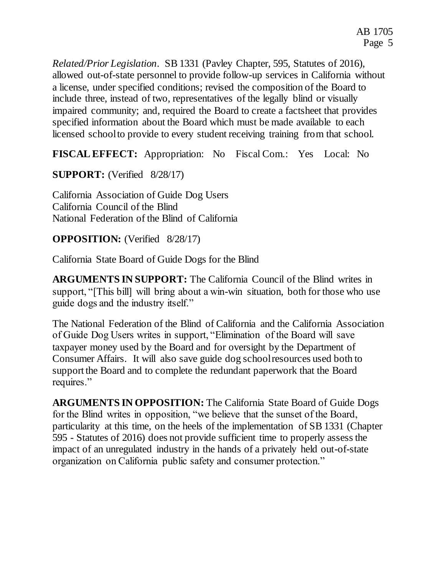*Related/Prior Legislation.* SB 1331 (Pavley Chapter, 595, Statutes of 2016), allowed out-of-state personnel to provide follow-up services in California without a license, under specified conditions; revised the composition of the Board to include three, instead of two, representatives of the legally blind or visually impaired community; and, required the Board to create a factsheet that provides specified information about the Board which must be made available to each licensed school to provide to every student receiving training from that school.

**FISCAL EFFECT:** Appropriation: No Fiscal Com.: Yes Local: No

**SUPPORT:** (Verified 8/28/17)

California Association of Guide Dog Users California Council of the Blind National Federation of the Blind of California

# **OPPOSITION:** (Verified 8/28/17)

California State Board of Guide Dogs for the Blind

**ARGUMENTS IN SUPPORT:** The California Council of the Blind writes in support, "[This bill] will bring about a win-win situation, both for those who use guide dogs and the industry itself."

The National Federation of the Blind of California and the California Association of Guide Dog Users writes in support, "Elimination of the Board will save taxpayer money used by the Board and for oversight by the Department of Consumer Affairs. It will also save guide dog school resources used both to support the Board and to complete the redundant paperwork that the Board requires."

**ARGUMENTS IN OPPOSITION:** The California State Board of Guide Dogs for the Blind writes in opposition, "we believe that the sunset of the Board, particularity at this time, on the heels of the implementation of SB 1331 (Chapter 595 - Statutes of 2016) does not provide sufficient time to properly assess the impact of an unregulated industry in the hands of a privately held out-of-state organization on California public safety and consumer protection."